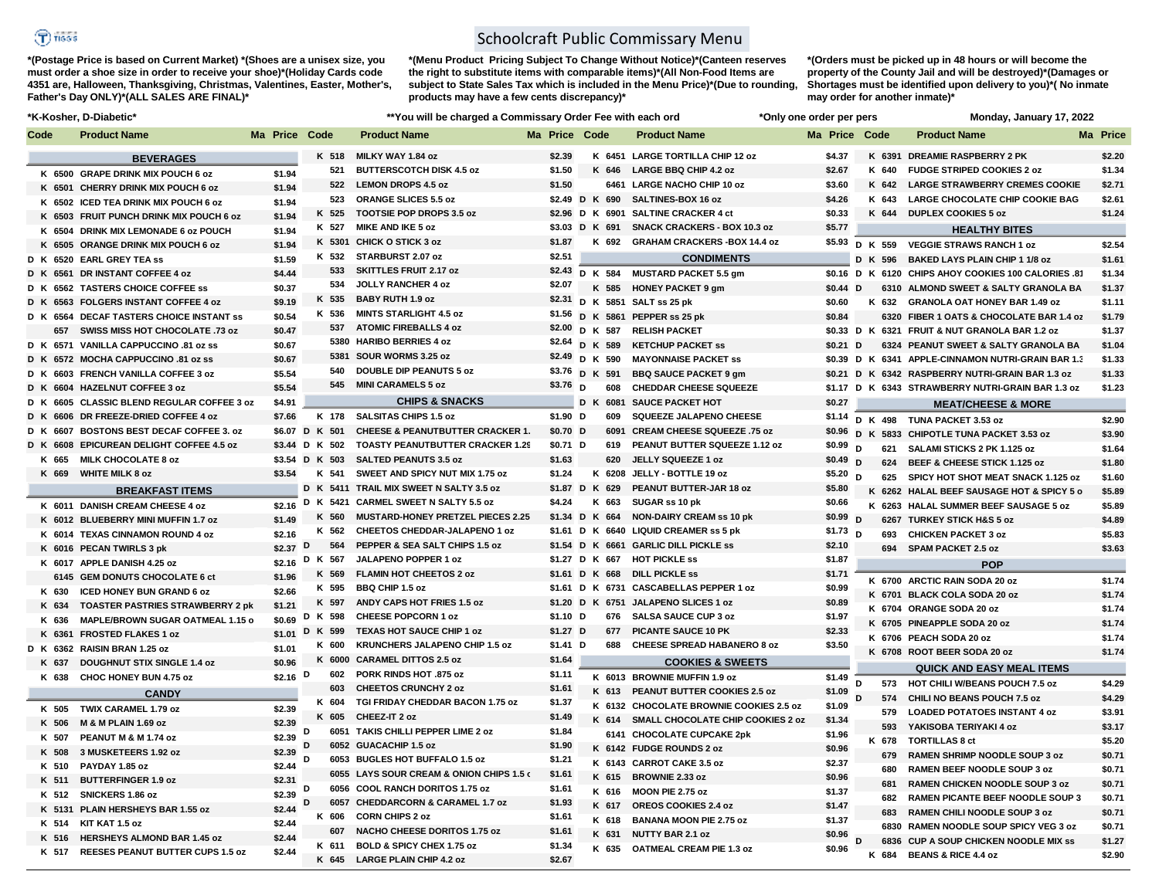## $\bigcirc$  risss

**\*(Postage Price is based on Current Market) \*(Shoes are a unisex size, you must order a shoe size in order to receive your shoe)\*(Holiday Cards code 4351 are, Halloween, Thanksgiving, Christmas, Valentines, Easter, Mother's, Father's Day ONLY)\*(ALL SALES ARE FINAL)\***

## Schoolcraft Public Commissary Menu

subject to State Sales Tax which is included in the Menu Price)\*(Due to rounding, Shortages must be identified upon delivery to you)\*( No inmate **\*(Menu Product Pricing Subject To Change Without Notice)\*(Canteen reserves the right to substitute items with comparable items)\*(All Non-Food Items are products may have a few cents discrepancy)\*** 

**\*(Orders must be picked up in 48 hours or will become the property of the County Jail and will be destroyed)\*(Damages or may order for another inmate)\***

| *K-Kosher, D-Diabetic* |                                            |                  | ** You will be charged a Commissary Order Fee with each ord |                                             |                |         |       | *Only one order per pers                |               |   |         | Monday, January 17, 2022                            |                  |  |
|------------------------|--------------------------------------------|------------------|-------------------------------------------------------------|---------------------------------------------|----------------|---------|-------|-----------------------------------------|---------------|---|---------|-----------------------------------------------------|------------------|--|
| Code                   | <b>Product Name</b>                        | Ma Price Code    |                                                             | <b>Product Name</b>                         | Ma Price Code  |         |       | <b>Product Name</b>                     | Ma Price Code |   |         | <b>Product Name</b>                                 | <b>Ma Price</b>  |  |
|                        | <b>BEVERAGES</b>                           |                  | K 518                                                       | MILKY WAY 1.84 oz                           | \$2.39         |         |       | K 6451 LARGE TORTILLA CHIP 12 oz        | \$4.37        |   | K 6391  | <b>DREAMIE RASPBERRY 2 PK</b>                       | \$2.20           |  |
|                        | K 6500 GRAPE DRINK MIX POUCH 6 oz          | \$1.94           | 521                                                         | <b>BUTTERSCOTCH DISK 4.5 oz</b>             | \$1.50         |         |       | K 646 LARGE BBQ CHIP 4.2 oz             | \$2.67        |   | K 640   | <b>FUDGE STRIPED COOKIES 2 oz</b>                   | \$1.34           |  |
|                        | K 6501 CHERRY DRINK MIX POUCH 6 oz         | \$1.94           | 522                                                         | <b>LEMON DROPS 4.5 oz</b>                   | \$1.50         |         |       | 6461 LARGE NACHO CHIP 10 oz             | \$3.60        |   | K 642   | <b>LARGE STRAWBERRY CREMES COOKIE</b>               | \$2.71           |  |
|                        | K 6502 ICED TEA DRINK MIX POUCH 6 oz       | \$1.94           | 523                                                         | ORANGE SLICES 5.5 oz                        | \$2.49 D K 690 |         |       | SALTINES-BOX 16 oz                      | \$4.26        |   | K 643   | LARGE CHOCOLATE CHIP COOKIE BAG                     | \$2.61           |  |
|                        | K 6503 FRUIT PUNCH DRINK MIX POUCH 6 oz    | \$1.94           | K 525                                                       | TOOTSIE POP DROPS 3.5 oz                    |                |         |       | \$2.96 D K 6901 SALTINE CRACKER 4 ct    | \$0.33        |   | K 644   | <b>DUPLEX COOKIES 5 oz</b>                          | \$1.24           |  |
|                        | K 6504 DRINK MIX LEMONADE 6 oz POUCH       | \$1.94           | K 527                                                       | MIKE AND IKE 5 oz                           | \$3.03 D K 691 |         |       | <b>SNACK CRACKERS - BOX 10.3 oz</b>     | \$5.77        |   |         | <b>HEALTHY BITES</b>                                |                  |  |
|                        | K 6505 ORANGE DRINK MIX POUCH 6 oz         | \$1.94           |                                                             | K 5301 CHICK O STICK 3 oz                   | \$1.87         |         | K 692 | <b>GRAHAM CRACKERS - BOX 14.4 oz</b>    | \$5.93        |   | D K 559 | <b>VEGGIE STRAWS RANCH 1 oz</b>                     | \$2.54           |  |
|                        | D K 6520 EARL GREY TEA ss                  | \$1.59           | K 532                                                       | STARBURST 2.07 oz                           | \$2.51         |         |       | <b>CONDIMENTS</b>                       |               |   | D K 596 | <b>BAKED LAYS PLAIN CHIP 1 1/8 oz</b>               | \$1.61           |  |
| D K 6561               | DR INSTANT COFFEE 4 oz                     | \$4.44           | 533                                                         | <b>SKITTLES FRUIT 2.17 oz</b>               | \$2.43         | D K 584 |       | <b>MUSTARD PACKET 5.5 gm</b>            |               |   |         | \$0.16 D K 6120 CHIPS AHOY COOKIES 100 CALORIES .81 | \$1.34           |  |
|                        | D K 6562 TASTERS CHOICE COFFEE SS          | \$0.37           | 534                                                         | <b>JOLLY RANCHER 4 oz</b>                   | \$2.07         |         | K 585 | <b>HONEY PACKET 9 gm</b>                | \$0.44 D      |   |         | 6310 ALMOND SWEET & SALTY GRANOLA BA                | \$1.37           |  |
|                        | D K 6563 FOLGERS INSTANT COFFEE 4 oz       | \$9.19           | K 535                                                       | <b>BABY RUTH 1.9 oz</b>                     | \$2.31         |         |       | D K 5851 SALT ss 25 pk                  | \$0.60        |   |         | K 632 GRANOLA OAT HONEY BAR 1.49 oz                 | \$1.11           |  |
|                        | D K 6564 DECAF TASTERS CHOICE INSTANT SS   | \$0.54           | K 536                                                       | <b>MINTS STARLIGHT 4.5 oz</b>               |                |         |       | \$1.56 D K 5861 PEPPER ss 25 pk         | \$0.84        |   |         | 6320 FIBER 1 OATS & CHOCOLATE BAR 1.4 oz            | \$1.79           |  |
|                        | 657 SWISS MISS HOT CHOCOLATE .73 oz        | \$0.47           |                                                             | 537 ATOMIC FIREBALLS 4 oz                   | \$2.00 D K 587 |         |       | <b>RELISH PACKET</b>                    |               |   |         | \$0.33 D K 6321 FRUIT & NUT GRANOLA BAR 1.2 oz      | \$1.37           |  |
|                        | D K 6571 VANILLA CAPPUCCINO .81 oz ss      | \$0.67           |                                                             | 5380 HARIBO BERRIES 4 oz                    | \$2.64 D K 589 |         |       | <b>KETCHUP PACKET SS</b>                | $$0.21$ D     |   |         | 6324 PEANUT SWEET & SALTY GRANOLA BA                | \$1.04           |  |
|                        | D K 6572 MOCHA CAPPUCCINO .81 oz ss        | \$0.67           | 5381                                                        | SOUR WORMS 3.25 oz                          | \$2.49 D K 590 |         |       | <b>MAYONNAISE PACKET SS</b>             |               |   |         | \$0.39 D K 6341 APPLE-CINNAMON NUTRI-GRAIN BAR 1.3  | \$1.33           |  |
|                        | D K 6603 FRENCH VANILLA COFFEE 3 oz        | \$5.54           | 540                                                         | <b>DOUBLE DIP PEANUTS 5 oz</b>              | \$3.76 D K 591 |         |       | <b>BBQ SAUCE PACKET 9 gm</b>            |               |   |         | \$0.21 D K 6342 RASPBERRY NUTRI-GRAIN BAR 1.3 oz    | \$1.33           |  |
|                        | D K 6604 HAZELNUT COFFEE 3 oz              | \$5.54           |                                                             | 545 MINI CARAMELS 5 oz                      | \$3.76 D       |         | 608   | <b>CHEDDAR CHEESE SQUEEZE</b>           |               |   |         | \$1.17 D K 6343 STRAWBERRY NUTRI-GRAIN BAR 1.3 oz   | \$1.23           |  |
|                        | D K 6605 CLASSIC BLEND REGULAR COFFEE 3 oz | \$4.91           |                                                             | <b>CHIPS &amp; SNACKS</b>                   |                |         |       | D K 6081 SAUCE PACKET HOT               | \$0.27        |   |         | <b>MEAT/CHEESE &amp; MORE</b>                       |                  |  |
|                        | D K 6606 DR FREEZE-DRIED COFFEE 4 oz       | \$7.66           | K 178                                                       | <b>SALSITAS CHIPS 1.5 oz</b>                | \$1.90 D       |         | 609   | SQUEEZE JALAPENO CHEESE                 |               |   |         | \$1.14 D K 498 TUNA PACKET 3.53 oz                  | \$2.90           |  |
| D K 6607               | <b>BOSTONS BEST DECAF COFFEE 3. oz</b>     |                  | \$6.07 D K 501                                              | <b>CHEESE &amp; PEANUTBUTTER CRACKER 1.</b> | \$0.70 D       |         |       | 6091 CREAM CHEESE SQUEEZE .75 oz        | \$0.96        |   |         | D K 5833 CHIPOTLE TUNA PACKET 3.53 oz               | \$3.90           |  |
|                        | D K 6608 EPICUREAN DELIGHT COFFEE 4.5 oz   |                  | \$3.44 D K 502                                              | <b>TOASTY PEANUTBUTTER CRACKER 1.29</b>     | \$0.71 D       |         | 619   | PEANUT BUTTER SQUEEZE 1.12 oz           | \$0.99        | D | 621     | SALAMI STICKS 2 PK 1.125 oz                         | \$1.64           |  |
| K 665                  | <b>MILK CHOCOLATE 8 oz</b>                 |                  | \$3.54 D K 503                                              | <b>SALTED PEANUTS 3.5 oz</b>                | \$1.63         |         | 620   | JELLY SQUEEZE 1 oz                      | $$0.49$ D     |   |         | 624 BEEF & CHEESE STICK 1.125 oz                    | \$1.80           |  |
|                        | K 669 WHITE MILK 8 oz                      | \$3.54           | K 541                                                       | SWEET AND SPICY NUT MIX 1.75 oz             | \$1.24         |         |       | K 6208 JELLY - BOTTLE 19 oz             | \$5.20 $D$    |   |         | 625 SPICY HOT SHOT MEAT SNACK 1.125 oz              |                  |  |
|                        | <b>BREAKFAST ITEMS</b>                     |                  |                                                             | D K 5411 TRAIL MIX SWEET N SALTY 3.5 oz     | \$1.87 D K 629 |         |       | PEANUT BUTTER-JAR 18 oz                 | \$5.80        |   |         | K 6262 HALAL BEEF SAUSAGE HOT & SPICY 5 o           | \$1.60<br>\$5.89 |  |
|                        | K 6011 DANISH CREAM CHEESE 4 oz            | \$2.16           | D K 5421                                                    | <b>CARMEL SWEET N SALTY 5.5 oz</b>          | \$4.24         |         | K 663 | SUGAR ss 10 pk                          | \$0.66        |   |         | K 6263 HALAL SUMMER BEEF SAUSAGE 5 oz               | \$5.89           |  |
|                        | K 6012 BLUEBERRY MINI MUFFIN 1.7 oz        | \$1.49           | K 560                                                       | <b>MUSTARD-HONEY PRETZEL PIECES 2.25</b>    | \$1.34 D K 664 |         |       | <b>NON-DAIRY CREAM ss 10 pk</b>         | \$0.99 D      |   |         | 6267 TURKEY STICK H&S 5 oz                          | \$4.89           |  |
|                        | K 6014 TEXAS CINNAMON ROUND 4 oz           | \$2.16           | K 562                                                       | CHEETOS CHEDDAR-JALAPENO 1 oz               |                |         |       | \$1.61 D K 6640 LIQUID CREAMER ss 5 pk  | $$1.73$ D     |   | 693     | <b>CHICKEN PACKET 3 oz</b>                          | \$5.83           |  |
|                        | K 6016 PECAN TWIRLS 3 pk                   | $$2.37$ D        | 564                                                         | PEPPER & SEA SALT CHIPS 1.5 oz              |                |         |       | \$1.54 D K 6661 GARLIC DILL PICKLE ss   | \$2.10        |   |         | 694 SPAM PACKET 2.5 oz                              | \$3.63           |  |
|                        | K 6017 APPLE DANISH 4.25 oz                |                  | \$2.16 D K 567                                              | JALAPENO POPPER 1 oz                        | \$1.27 D K 667 |         |       | <b>HOT PICKLE SS</b>                    | \$1.87        |   |         |                                                     |                  |  |
|                        | 6145 GEM DONUTS CHOCOLATE 6 ct             | \$1.96           | K 569                                                       | <b>FLAMIN HOT CHEETOS 2 oz</b>              | \$1.61 D K 668 |         |       | <b>DILL PICKLE SS</b>                   | \$1.71        |   |         | <b>POP</b>                                          |                  |  |
| K 630                  | <b>ICED HONEY BUN GRAND 6 oz</b>           | \$2.66           | K 595                                                       | <b>BBQ CHIP 1.5 oz</b>                      |                |         |       | \$1.61 D K 6731 CASCABELLAS PEPPER 1 oz | \$0.99        |   |         | K 6700 ARCTIC RAIN SODA 20 oz                       | \$1.74           |  |
| K 634                  | <b>TOASTER PASTRIES STRAWBERRY 2 pk</b>    | \$1.21           | K 597                                                       | ANDY CAPS HOT FRIES 1.5 oz                  |                |         |       | \$1.20 D K 6751 JALAPENO SLICES 1 oz    | \$0.89        |   |         | K 6701 BLACK COLA SODA 20 oz                        | \$1.74           |  |
| K 636                  | MAPLE/BROWN SUGAR OATMEAL 1.15 o           | \$0.69           | D K 598                                                     | <b>CHEESE POPCORN 1 oz</b>                  | $$1.10$ D      |         |       | 676 SALSA SAUCE CUP 3 oz                | \$1.97        |   |         | K 6704 ORANGE SODA 20 oz                            | \$1.74           |  |
|                        | K 6361 FROSTED FLAKES 1 oz                 | \$1.01           | D K 599                                                     | TEXAS HOT SAUCE CHIP 1 oz                   | \$1.27 D       |         | 677   | PICANTE SAUCE 10 PK                     | \$2.33        |   |         | K 6705 PINEAPPLE SODA 20 oz                         | \$1.74           |  |
|                        | D K 6362 RAISIN BRAN 1.25 oz               | \$1.01           | K 600                                                       | <b>KRUNCHERS JALAPENO CHIP 1.5 oz</b>       | $$1.41$ D      |         | 688   | <b>CHEESE SPREAD HABANERO 8 oz</b>      | \$3.50        |   |         | K 6706 PEACH SODA 20 oz                             | \$1.74           |  |
| K 637                  | <b>DOUGHNUT STIX SINGLE 1.4 oz</b>         | \$0.96           |                                                             | K 6000 CARAMEL DITTOS 2.5 oz                | \$1.64         |         |       | <b>COOKIES &amp; SWEETS</b>             |               |   |         | K 6708 ROOT BEER SODA 20 oz                         | \$1.74           |  |
|                        | K 638 CHOC HONEY BUN 4.75 oz               | \$2.16 $D$       |                                                             | 602 PORK RINDS HOT .875 oz                  | \$1.11         |         |       | K 6013 BROWNIE MUFFIN 1.9 oz            | \$1.49        |   |         | <b>QUICK AND EASY MEAL ITEMS</b>                    |                  |  |
|                        |                                            |                  | 603                                                         | <b>CHEETOS CRUNCHY 2 oz</b>                 | \$1.61         |         | K 613 | PEANUT BUTTER COOKIES 2.5 oz            | \$1.09        | D | 573     | HOT CHILI W/BEANS POUCH 7.5 oz                      | \$4.29           |  |
|                        | <b>CANDY</b>                               |                  | K 604                                                       | TGI FRIDAY CHEDDAR BACON 1.75 oz            | \$1.37         |         |       | K 6132 CHOCOLATE BROWNIE COOKIES 2.5 oz | \$1.09        | D | 574     | CHILI NO BEANS POUCH 7.5 oz                         | \$4.29           |  |
| K 505                  | TWIX CARAMEL 1.79 oz                       | \$2.39           | K 605                                                       | CHEEZ-IT 2 oz                               | \$1.49         |         |       | K 614 SMALL CHOCOLATE CHIP COOKIES 2 oz | \$1.34        |   | 579     | <b>LOADED POTATOES INSTANT 4 oz</b>                 | \$3.91           |  |
| K 506                  | M & M PLAIN 1.69 oz                        | \$2.39           | D                                                           | 6051 TAKIS CHILLI PEPPER LIME 2 oz          | \$1.84         |         |       | 6141 CHOCOLATE CUPCAKE 2pk              | \$1.96        |   | 593     | YAKISOBA TERIYAKI 4 oz                              | \$3.17           |  |
| K 507                  | PEANUT M & M 1.74 oz                       | \$2.39           | D                                                           | 6052 GUACACHIP 1.5 oz                       | \$1.90         |         |       | K 6142 FUDGE ROUNDS 2 oz                | \$0.96        |   | K 678   | <b>TORTILLAS 8 ct</b>                               | \$5.20           |  |
| K 508                  | 3 MUSKETEERS 1.92 oz                       | \$2.39           | D                                                           | 6053 BUGLES HOT BUFFALO 1.5 oz              | \$1.21         |         |       | K 6143 CARROT CAKE 3.5 oz               | \$2.37        |   | 679     | RAMEN SHRIMP NOODLE SOUP 3 oz                       | \$0.71           |  |
| K 510                  | PAYDAY 1.85 oz                             | \$2.44           |                                                             | 6055 LAYS SOUR CREAM & ONION CHIPS 1.5 c    | \$1.61         |         | K 615 | <b>BROWNIE 2.33 oz</b>                  | \$0.96        |   | 680     | RAMEN BEEF NOODLE SOUP 3 oz                         | \$0.71           |  |
| K 511                  | <b>BUTTERFINGER 1.9 oz</b>                 | \$2.31           | D                                                           | 6056 COOL RANCH DORITOS 1.75 oz             | \$1.61         |         | K 616 | MOON PIE 2.75 oz                        | \$1.37        |   | 681     | RAMEN CHICKEN NOODLE SOUP 3 oz                      | \$0.71           |  |
| K 512                  | SNICKERS 1.86 oz                           | \$2.39           | D                                                           | 6057 CHEDDARCORN & CARAMEL 1.7 oz           | \$1.93         |         | K 617 | OREOS COOKIES 2.4 oz                    | \$1.47        |   | 682     | <b>RAMEN PICANTE BEEF NOODLE SOUP 3</b>             | \$0.71           |  |
|                        | K 5131 PLAIN HERSHEYS BAR 1.55 oz          | \$2.44           | K 606                                                       | <b>CORN CHIPS 2 oz</b>                      | \$1.61         |         | K 618 | <b>BANANA MOON PIE 2.75 oz</b>          | \$1.37        |   | 683     | RAMEN CHILI NOODLE SOUP 3 oz                        | \$0.71           |  |
|                        | K 514 KIT KAT 1.5 oz                       | \$2.44           | 607                                                         | NACHO CHEESE DORITOS 1.75 oz                | \$1.61         |         | K 631 | NUTTY BAR 2.1 oz                        | \$0.96        |   |         | 6830 RAMEN NOODLE SOUP SPICY VEG 3 oz               | \$0.71           |  |
|                        | K 516 HERSHEYS ALMOND BAR 1.45 oz          | \$2.44<br>\$2.44 |                                                             | K 611 BOLD & SPICY CHEX 1.75 oz             | \$1.34         |         |       | K 635 OATMEAL CREAM PIE 1.3 oz          | \$0.96        |   |         | 6836 CUP A SOUP CHICKEN NOODLE MIX SS               | \$1.27           |  |
|                        | K 517 REESES PEANUT BUTTER CUPS 1.5 oz     |                  |                                                             | K 645 LARGE PLAIN CHIP 4.2 oz               | \$2.67         |         |       |                                         |               |   |         | K 684 BEANS & RICE 4.4 oz                           | \$2.90           |  |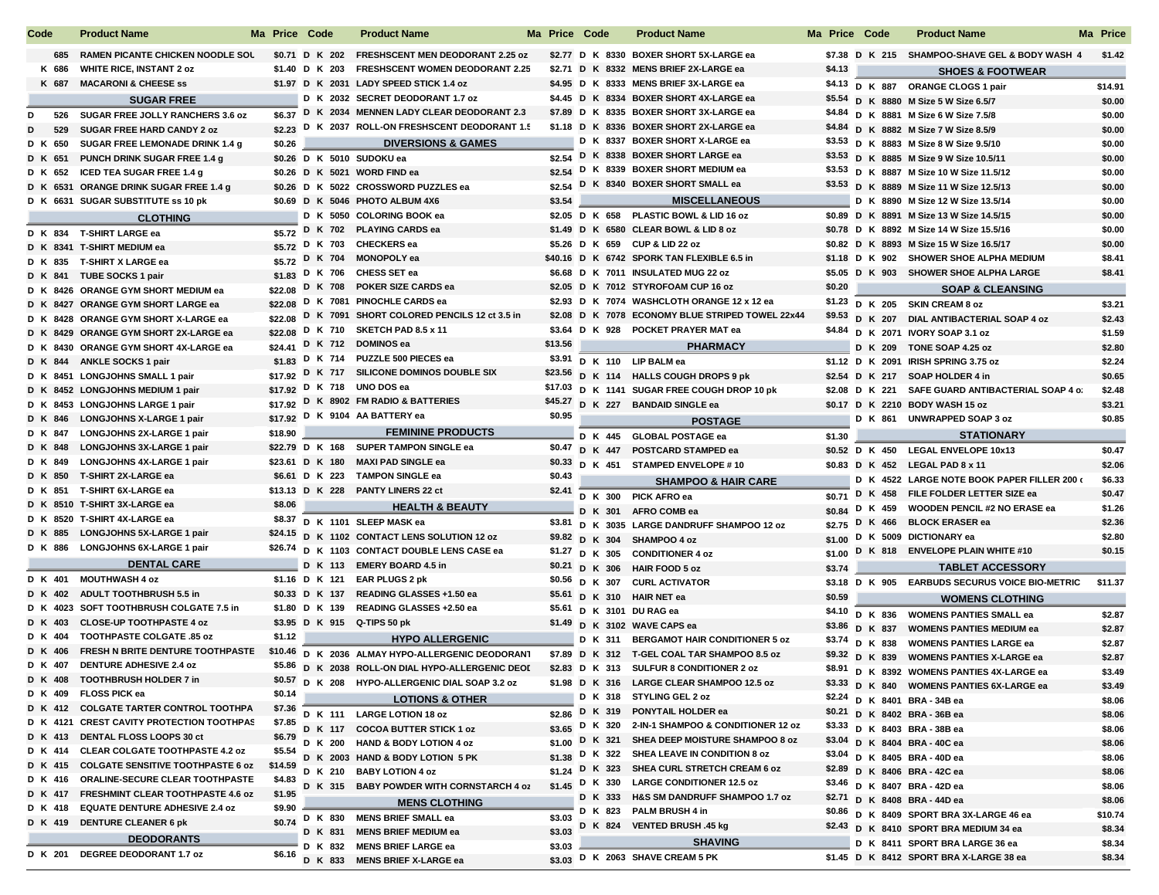| Code    |       | <b>Product Name</b>                       | Ma Price Code | <b>Product Name</b>                               | Ma Price Code |  | <b>Product Name</b>                               | Ma Price Code |        | <b>Product Name</b>                               | <b>Ma Price</b> |
|---------|-------|-------------------------------------------|---------------|---------------------------------------------------|---------------|--|---------------------------------------------------|---------------|--------|---------------------------------------------------|-----------------|
|         |       | 685 RAMEN PICANTE CHICKEN NOODLE SOL      |               | \$0.71 D K 202 FRESHSCENT MEN DEODORANT 2.25 oz   |               |  | \$2.77 D K 8330 BOXER SHORT 5X-LARGE ea           |               |        | \$7.38 D K 215 SHAMPOO-SHAVE GEL & BODY WASH 4    | \$1.42          |
|         | K 686 | <b>WHITE RICE, INSTANT 2 oz</b>           |               | \$1.40 D K 203 FRESHSCENT WOMEN DEODORANT 2.25    |               |  | \$2.71 D K 8332 MENS BRIEF 2X-LARGE ea            | \$4.13        |        | <b>SHOES &amp; FOOTWEAR</b>                       |                 |
|         |       | K 687 MACARONI & CHEESE ss                |               | \$1.97 D K 2031 LADY SPEED STICK 1.4 oz           |               |  | \$4.95 D K 8333 MENS BRIEF 3X-LARGE ea            |               |        | \$4.13 D K 887 ORANGE CLOGS 1 pair                | \$14.91         |
|         |       | <b>SUGAR FREE</b>                         |               | D K 2032 SECRET DEODORANT 1.7 oz                  |               |  | \$4.45 D K 8334 BOXER SHORT 4X-LARGE ea           |               |        | \$5.54 D K 8880 M Size 5 W Size 6.5/7             | \$0.00          |
| D       |       | 526 SUGAR FREE JOLLY RANCHERS 3.6 oz      |               | \$6.37 D K 2034 MENNEN LADY CLEAR DEODORANT 2.3   |               |  | \$7.89 D K 8335 BOXER SHORT 3X-LARGE ea           |               |        | \$4.84 D K 8881 M Size 6 W Size 7.5/8             | \$0.00          |
| D       | 529   | <b>SUGAR FREE HARD CANDY 2 oz</b>         |               | \$2.23 D K 2037 ROLL-ON FRESHSCENT DEODORANT 1.5  |               |  | \$1.18 D K 8336 BOXER SHORT 2X-LARGE ea           |               |        | \$4.84 D K 8882 M Size 7 W Size 8.5/9             | \$0.00          |
| D K 650 |       | SUGAR FREE LEMONADE DRINK 1.4 g           | \$0.26        | <b>DIVERSIONS &amp; GAMES</b>                     |               |  | D K 8337 BOXER SHORT X-LARGE ea                   |               |        | \$3.53 D K 8883 M Size 8 W Size 9.5/10            | \$0.00          |
| D K 651 |       | PUNCH DRINK SUGAR FREE 1.4 g              |               | \$0.26 D K 5010 SUDOKU ea                         |               |  | \$2.54 D K 8338 BOXER SHORT LARGE ea              |               |        | \$3.53 D K 8885 M Size 9 W Size 10.5/11           | \$0.00          |
| D K 652 |       | ICED TEA SUGAR FREE 1.4 g                 |               | \$0.26 D K 5021 WORD FIND ea                      |               |  | \$2.54 D K 8339 BOXER SHORT MEDIUM ea             |               |        | \$3.53 D K 8887 M Size 10 W Size 11.5/12          | \$0.00          |
|         |       | D K 6531 ORANGE DRINK SUGAR FREE 1.4 g    |               | \$0.26 D K 5022 CROSSWORD PUZZLES ea              |               |  | \$2.54 D K 8340 BOXER SHORT SMALL ea              |               |        | \$3.53 D K 8889 M Size 11 W Size 12.5/13          | \$0.00          |
|         |       | D K 6631 SUGAR SUBSTITUTE ss 10 pk        |               | \$0.69 D K 5046 PHOTO ALBUM 4X6                   | \$3.54        |  | <b>MISCELLANEOUS</b>                              |               |        | D K 8890 M Size 12 W Size 13.5/14                 | \$0.00          |
|         |       | <b>CLOTHING</b>                           |               | D K 5050 COLORING BOOK ea                         |               |  | \$2.05 D K 658 PLASTIC BOWL & LID 16 oz           |               |        | \$0.89 D K 8891 M Size 13 W Size 14.5/15          | \$0.00          |
|         |       |                                           |               | \$5.72 D K 702 PLAYING CARDS ea                   |               |  | \$1.49 D K 6580 CLEAR BOWL & LID 8 oz             |               |        | \$0.78 D K 8892 M Size 14 W Size 15.5/16          | \$0.00          |
|         |       | D K 834 T-SHIRT LARGE ea                  |               | \$5.72 D K 703 CHECKERS ea                        |               |  | \$5.26 D K 659 CUP & LID 22 oz                    |               |        | \$0.82 D K 8893 M Size 15 W Size 16.5/17          | \$0.00          |
|         |       | D K 8341 T-SHIRT MEDIUM ea                |               | \$5.72 D K 704 MONOPOLY ea                        |               |  | \$40.16 D K 6742 SPORK TAN FLEXIBLE 6.5 in        |               |        | \$1.18 D K 902 SHOWER SHOE ALPHA MEDIUM           | \$8.41          |
|         |       | D K 835 T-SHIRT X LARGE ea                |               | \$1.83 D K 706 CHESS SET ea                       |               |  | \$6.68 D K 7011 INSULATED MUG 22 oz               |               |        | \$5.05 D K 903 SHOWER SHOE ALPHA LARGE            | \$8.41          |
|         |       | D K 841 TUBE SOCKS 1 pair                 |               | \$22.08 D K 708 POKER SIZE CARDS ea               |               |  | \$2.05 D K 7012 STYROFOAM CUP 16 oz               | \$0.20        |        |                                                   |                 |
|         |       | D K 8426 ORANGE GYM SHORT MEDIUM ea       |               | D K 7081 PINOCHLE CARDS ea                        |               |  | \$2.93 D K 7074 WASHCLOTH ORANGE 12 x 12 ea       |               |        | <b>SOAP &amp; CLEANSING</b>                       |                 |
|         |       | D K 8427 ORANGE GYM SHORT LARGE ea        | \$22.08       | D K 7091 SHORT COLORED PENCILS 12 ct 3.5 in       |               |  | \$2.08 D K 7078 ECONOMY BLUE STRIPED TOWEL 22x44  |               |        | \$1.23 D K 205 SKIN CREAM 8 oz                    | \$3.21          |
|         |       | D K 8428 ORANGE GYM SHORT X-LARGE ea      | \$22.08       | \$22.08 D K 710 SKETCH PAD 8.5 x 11               |               |  | \$3.64 D K 928 POCKET PRAYER MAT ea               |               |        | \$9.53 D K 207 DIAL ANTIBACTERIAL SOAP 4 oz       | \$2.43          |
|         |       | D K 8429 ORANGE GYM SHORT 2X-LARGE ea     |               | \$24.41 D K 712 DOMINOS ea                        | \$13.56       |  |                                                   |               |        | \$4.84 D K 2071 IVORY SOAP 3.1 oz                 | \$1.59          |
|         |       | D K 8430 ORANGE GYM SHORT 4X-LARGE ea     |               | \$1.83 D K 714 PUZZLE 500 PIECES ea               |               |  | <b>PHARMACY</b>                                   |               |        | D K 209 TONE SOAP 4.25 oz                         | \$2.80          |
|         |       | D K 844 ANKLE SOCKS 1 pair                |               | \$17.92 D K 717 SILICONE DOMINOS DOUBLE SIX       |               |  | $$3.91$ D K 110 LIP BALM ea                       |               |        | \$1.12 D K 2091 IRISH SPRING 3.75 oz              | \$2.24          |
|         |       | D K 8451 LONGJOHNS SMALL 1 pair           |               | \$17.92 D K 718 UNO DOS ea                        |               |  | \$23.56 D K 114 HALLS COUGH DROPS 9 pk            |               |        | \$2.54 D K 217 SOAP HOLDER 4 in                   | \$0.65          |
|         |       | D K 8452 LONGJOHNS MEDIUM 1 pair          |               | \$17.92 D K 8902 FM RADIO & BATTERIES             |               |  | \$17.03 D K 1141 SUGAR FREE COUGH DROP 10 pk      |               |        | \$2.08 D K 221 SAFE GUARD ANTIBACTERIAL SOAP 4 of | \$2.48          |
|         |       | D K 8453 LONGJOHNS LARGE 1 pair           |               |                                                   | \$0.95        |  | \$45.27 D K 227 BANDAID SINGLE ea                 |               |        | \$0.17 D K 2210 BODY WASH 15 oz                   | \$3.21          |
|         |       | D K 846 LONGJOHNS X-LARGE 1 pair          |               | \$17.92 D K 9104 AA BATTERY ea                    |               |  | <b>POSTAGE</b>                                    |               |        | D K 861 UNWRAPPED SOAP 3 oz                       | \$0.85          |
|         |       | D K 847 LONGJOHNS 2X-LARGE 1 pair         | \$18.90       | <b>FEMININE PRODUCTS</b>                          |               |  | D K 445 GLOBAL POSTAGE ea                         | \$1.30        |        | <b>STATIONARY</b>                                 |                 |
| D K 848 |       | <b>LONGJOHNS 3X-LARGE 1 pair</b>          |               | \$22.79 D K 168 SUPER TAMPON SINGLE ea            |               |  | \$0.47 D K 447 POSTCARD STAMPED ea                |               |        | \$0.52 D K 450 LEGAL ENVELOPE 10x13               | \$0.47          |
| D K 849 |       | <b>LONGJOHNS 4X-LARGE 1 pair</b>          |               | \$23.61 D K 180 MAXI PAD SINGLE ea                |               |  | \$0.33 D K 451 STAMPED ENVELOPE #10               |               |        | \$0.83 D K 452 LEGAL PAD 8 x 11                   | \$2.06          |
|         |       | D K 850 T-SHIRT 2X-LARGE ea               |               | \$6.61 D K 223 TAMPON SINGLE ea                   | \$0.43        |  | <b>SHAMPOO &amp; HAIR CARE</b>                    |               |        | D K 4522 LARGE NOTE BOOK PAPER FILLER 200 (       | \$6.33          |
|         |       | D K 851 T-SHIRT 6X-LARGE ea               |               | \$13.13 D K 228 PANTY LINERS 22 ct                | \$2.41        |  | D K 300 PICK AFRO ea                              | \$0.71        |        | D K 458 FILE FOLDER LETTER SIZE ea                | \$0.47          |
|         |       | D K 8510 T-SHIRT 3X-LARGE ea              | \$8.06        | <b>HEALTH &amp; BEAUTY</b>                        |               |  | D K 301 AFRO COMB ea                              | \$0.84        |        | D K 459 WOODEN PENCIL #2 NO ERASE ea              | \$1.26          |
|         |       | D K 8520 T-SHIRT 4X-LARGE ea              |               | \$8.37 D K 1101 SLEEP MASK ea                     |               |  | \$3.81 D K 3035 LARGE DANDRUFF SHAMPOO 12 oz      |               |        | \$2.75 D K 466 BLOCK ERASER ea                    | \$2.36          |
|         |       | D K 885 LONGJOHNS 5X-LARGE 1 pair         |               | \$24.15 D K 1102 CONTACT LENS SOLUTION 12 oz      |               |  | \$9.82 D K 304 SHAMPOO 4 oz                       |               |        | \$1.00 D K 5009 DICTIONARY ea                     | \$2.80          |
|         |       | D K 886 LONGJOHNS 6X-LARGE 1 pair         |               | \$26.74 D K 1103 CONTACT DOUBLE LENS CASE ea      |               |  | $$1.27$ D K 305 CONDITIONER 4 oz                  |               |        | \$1.00 D K 818 ENVELOPE PLAIN WHITE #10           | \$0.15          |
|         |       | <b>DENTAL CARE</b>                        |               | D K 113 EMERY BOARD 4.5 in                        |               |  | \$0.21 D K 306 HAIR FOOD 5 oz                     |               | \$3.74 | <b>TABLET ACCESSORY</b>                           |                 |
|         |       | D K 401 MOUTHWASH 4 oz                    |               | \$1.16 D K 121 EAR PLUGS 2 pk                     |               |  | \$0.56 D K 307 CURL ACTIVATOR                     |               |        | \$3.18 D K 905 EARBUDS SECURUS VOICE BIO-METRIC   | \$11.37         |
|         |       | D K 402 ADULT TOOTHBRUSH 5.5 in           |               | \$0.33 D K 137 READING GLASSES +1.50 ea           |               |  | \$5.61 D K 310 HAIR NET ea                        | \$0.59        |        | <b>WOMENS CLOTHING</b>                            |                 |
|         |       | D K 4023 SOFT TOOTHBRUSH COLGATE 7.5 in   |               | \$1.80 D K 139 READING GLASSES +2.50 ea           |               |  | \$5.61 D K 3101 DU RAG ea                         |               |        | \$4.10 D K 836 WOMENS PANTIES SMALL ea            |                 |
| D K 403 |       | <b>CLOSE-UP TOOTHPASTE 4 oz</b>           |               | \$3.95 D K 915 Q-TIPS 50 pk                       |               |  | \$1.49 D K 3102 WAVE CAPS ea                      |               |        | \$3.86 D K 837 WOMENS PANTIES MEDIUM ea           | \$2.87          |
|         |       | D K 404 TOOTHPASTE COLGATE .85 oz         | \$1.12        | <b>HYPO ALLERGENIC</b>                            |               |  | D K 311 BERGAMOT HAIR CONDITIONER 5 oz            |               |        | \$3.74 D K 838 WOMENS PANTIES LARGE ea            | \$2.87          |
|         |       | D K 406 FRESH N BRITE DENTURE TOOTHPASTE  |               | \$10.46 D K 2036 ALMAY HYPO-ALLERGENIC DEODORANT  |               |  | \$7.89 D K 312 T-GEL COAL TAR SHAMPOO 8.5 oz      |               |        | \$9.32 D K 839 WOMENS PANTIES X-LARGE ea          | \$2.87          |
|         |       | D K 407 DENTURE ADHESIVE 2.4 oz           |               | \$5.86 D K 2038 ROLL-ON DIAL HYPO-ALLERGENIC DEOI |               |  | \$2.83 D K 313 SULFUR 8 CONDITIONER 2 oz          |               |        |                                                   | \$2.87          |
|         |       | D K 408 TOOTHBRUSH HOLDER 7 in            |               | \$0.57 D K 208 HYPO-ALLERGENIC DIAL SOAP 3.2 oz   |               |  | \$1.98 D K 316 LARGE CLEAR SHAMPOO 12.5 oz        |               |        | \$8.91 D K 8392 WOMENS PANTIES 4X-LARGE ea        | \$3.49          |
|         |       | D K 409 FLOSS PICK ea                     | \$0.14        |                                                   |               |  | D K 318 STYLING GEL 2 oz                          |               |        | \$3.33 D K 840 WOMENS PANTIES 6X-LARGE ea         | \$3.49          |
|         |       | D K 412 COLGATE TARTER CONTROL TOOTHPA    | \$7.36        | <b>LOTIONS &amp; OTHER</b>                        |               |  | \$2.86 D K 319 PONYTAIL HOLDER ea                 |               |        | \$2.24 D K 8401 BRA-34B ea                        | \$8.06          |
|         |       | D K 4121 CREST CAVITY PROTECTION TOOTHPAS | \$7.85        | D K 111 LARGE LOTION 18 oz                        |               |  | \$3.65 D K 320 2-IN-1 SHAMPOO & CONDITIONER 12 oz |               |        | \$0.21 D K 8402 BRA-36B ea                        | \$8.06          |
|         |       | D K 413 DENTAL FLOSS LOOPS 30 ct          | \$6.79        | D K 117 COCOA BUTTER STICK 1 oz                   |               |  | \$1.00 D K 321 SHEA DEEP MOISTURE SHAMPOO 8 oz    |               |        | \$3.33 D K 8403 BRA-38B ea                        | \$8.06          |
|         |       | D K 414 CLEAR COLGATE TOOTHPASTE 4.2 oz   | \$5.54        | D K 200 HAND & BODY LOTION 4 oz                   |               |  | \$1.38 D K 322 SHEA LEAVE IN CONDITION 8 oz       |               |        | \$3.04 D K 8404 BRA-40C ea                        | \$8.06          |
|         |       | D K 415 COLGATE SENSITIVE TOOTHPASTE 6 oz | \$14.59       | D K 2003 HAND & BODY LOTION 5 PK                  |               |  | \$1.24 D K 323 SHEA CURL STRETCH CREAM 6 oz       |               |        | \$3.04 D K 8405 BRA-40D ea                        | \$8.06          |
|         |       | D K 416 ORALINE-SECURE CLEAR TOOTHPASTE   | \$4.83        | D K 210 BABY LOTION 4 oz                          |               |  | \$1.45 D K 330 LARGE CONDITIONER 12.5 oz          |               |        | \$2.89 D K 8406 BRA-42C ea                        | \$8.06          |
|         |       | D K 417 FRESHMINT CLEAR TOOTHPASTE 4.6 oz | \$1.95        | D K 315 BABY POWDER WITH CORNSTARCH 4 oz          |               |  |                                                   |               |        | \$3.46 D K 8407 BRA-42D ea                        | \$8.06          |
|         |       | D K 418 EQUATE DENTURE ADHESIVE 2.4 oz    | \$9.90        | <b>MENS CLOTHING</b>                              |               |  | D K 333 H&S SM DANDRUFF SHAMPOO 1.7 oz            |               |        | \$2.71 D K 8408 BRA-44D ea                        | \$8.06          |
|         |       | D K 419 DENTURE CLEANER 6 pk              | \$0.74        | D K 830 MENS BRIEF SMALL ea                       | \$3.03        |  | D K 823 PALM BRUSH 4 in                           |               |        | \$0.86 D K 8409 SPORT BRA 3X-LARGE 46 ea          | \$10.74         |
|         |       |                                           |               | D K 831 MENS BRIEF MEDIUM ea                      | \$3.03        |  | D K 824 VENTED BRUSH .45 kg                       |               |        | \$2.43 D K 8410 SPORT BRA MEDIUM 34 ea            | \$8.34          |
|         |       | <b>DEODORANTS</b>                         |               | D K 832 MENS BRIEF LARGE ea                       | \$3.03        |  | <b>SHAVING</b>                                    |               |        | D K 8411 SPORT BRA LARGE 36 ea                    | \$8.34          |
|         |       | D K 201 DEGREE DEODORANT 1.7 oz           | \$6.16        | D K 833 MENS BRIEF X-LARGE ea                     |               |  | \$3.03 D K 2063 SHAVE CREAM 5 PK                  |               |        | \$1.45 D K 8412 SPORT BRA X-LARGE 38 ea           | \$8.34          |